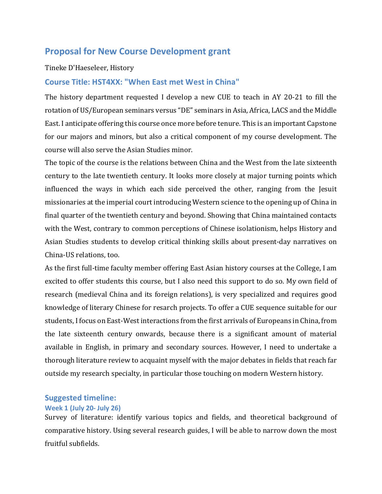# **Proposal for New Course Development grant**

#### Tineke D'Haeseleer, History

### **Course Title: HST4XX: "When East met West in China"**

The history department requested I develop a new CUE to teach in AY 20-21 to fill the rotation of US/European seminars versus "DE" seminars in Asia, Africa, LACS and the Middle East. I anticipate offering this course once more before tenure. This is an important Capstone for our majors and minors, but also a critical component of my course development. The course will also serve the Asian Studies minor.

The topic of the course is the relations between China and the West from the late sixteenth century to the late twentieth century. It looks more closely at major turning points which influenced the ways in which each side perceived the other, ranging from the Jesuit missionaries at the imperial court introducing Western science to the opening up of China in final quarter of the twentieth century and beyond. Showing that China maintained contacts with the West, contrary to common perceptions of Chinese isolationism, helps History and Asian Studies students to develop critical thinking skills about present-day narratives on China-US relations, too.

As the first full-time faculty member offering East Asian history courses at the College, I am excited to offer students this course, but I also need this support to do so. My own field of research (medieval China and its foreign relations), is very specialized and requires good knowledge of literary Chinese for resarch projects. To offer a CUE sequence suitable for our students, I focus on East-West interactions from the first arrivals of Europeans in China, from the late sixteenth century onwards, because there is a significant amount of material available in English, in primary and secondary sources. However, I need to undertake a thorough literature review to acquaint myself with the major debates in fields that reach far outside my research specialty, in particular those touching on modern Western history.

#### **Suggested timeline:**

#### **Week 1 (July 20- July 26)**

Survey of literature: identify various topics and fields, and theoretical background of comparative history. Using several research guides, I will be able to narrow down the most fruitful subfields.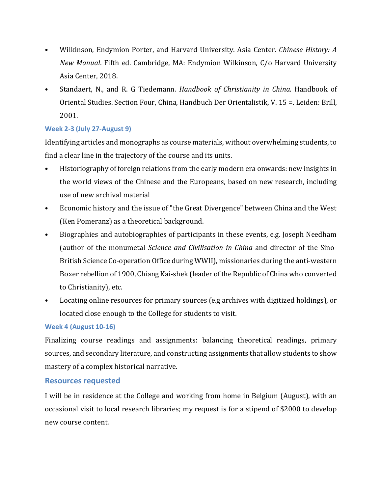- Wilkinson, Endymion Porter, and Harvard University. Asia Center. *Chinese History: A New Manual*. Fifth ed. Cambridge, MA: Endymion Wilkinson, C/o Harvard University Asia Center, 2018.
- Standaert, N., and R. G Tiedemann. *Handbook of Christianity in China*. Handbook of Oriental Studies. Section Four, China, Handbuch Der Orientalistik, V. 15 = Leiden: Brill, 2001.

### **Week 2-3 (July 27-August 9)**

Identifying articles and monographs as course materials, without overwhelming students, to find a clear line in the trajectory of the course and its units.

- Historiography of foreign relations from the early modern era onwards: new insights in the world views of the Chinese and the Europeans, based on new research, including use of new archival material
- Economic history and the issue of "the Great Divergence" between China and the West (Ken Pomeranz) as a theoretical background.
- Biographies and autobiographies of participants in these events, e.g. Joseph Needham (author of the monumetal *Science and Civilisation in China* and director of the Sino-British Science Co-operation Office during WWII), missionaries during the anti-western Boxer rebellion of 1900, Chiang Kai-shek (leader of the Republic of China who converted to Christianity), etc.
- Locating online resources for primary sources (e.g archives with digitized holdings), or located close enough to the College for students to visit.

### **Week 4 (August 10-16)**

Finalizing course readings and assignments: balancing theoretical readings, primary sources, and secondary literature, and constructing assignments that allow students to show mastery of a complex historical narrative.

### **Resources requested**

I will be in residence at the College and working from home in Belgium (August), with an occasional visit to local research libraries; my request is for a stipend of \$2000 to develop new course content.